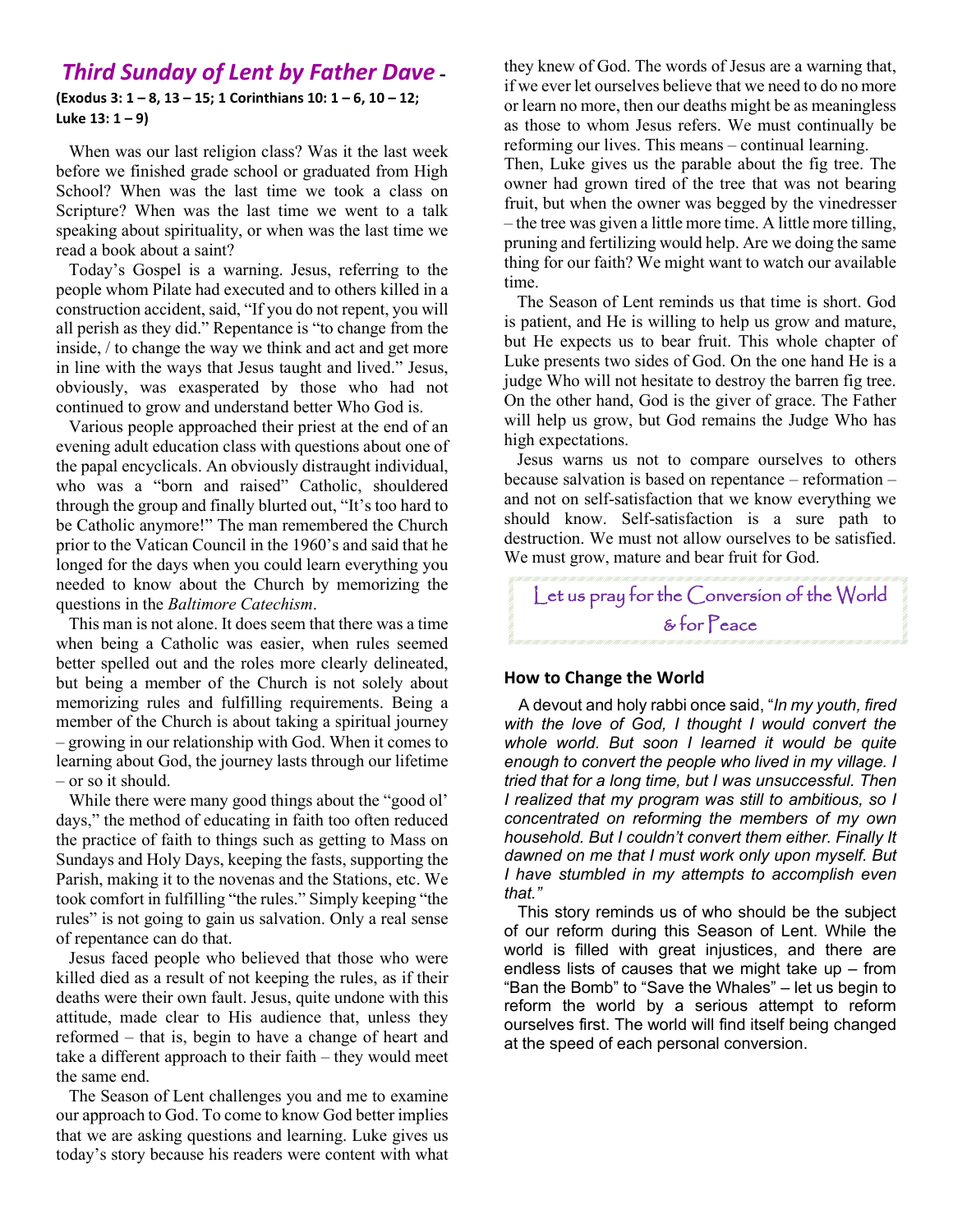# *Third Sunday of Lent by Father Dave* **-**

#### **(Exodus 3: 1 – 8, 13 – 15; 1 Corinthians 10: 1 – 6, 10 – 12; Luke 13: 1 – 9)**

 When was our last religion class? Was it the last week before we finished grade school or graduated from High School? When was the last time we took a class on Scripture? When was the last time we went to a talk speaking about spirituality, or when was the last time we read a book about a saint?

 Today's Gospel is a warning. Jesus, referring to the people whom Pilate had executed and to others killed in a construction accident, said, "If you do not repent, you will all perish as they did." Repentance is "to change from the inside, / to change the way we think and act and get more in line with the ways that Jesus taught and lived." Jesus, obviously, was exasperated by those who had not continued to grow and understand better Who God is.

 Various people approached their priest at the end of an evening adult education class with questions about one of the papal encyclicals. An obviously distraught individual, who was a "born and raised" Catholic, shouldered through the group and finally blurted out, "It's too hard to be Catholic anymore!" The man remembered the Church prior to the Vatican Council in the 1960's and said that he longed for the days when you could learn everything you needed to know about the Church by memorizing the questions in the *Baltimore Catechism*.

 This man is not alone. It does seem that there was a time when being a Catholic was easier, when rules seemed better spelled out and the roles more clearly delineated, but being a member of the Church is not solely about memorizing rules and fulfilling requirements. Being a member of the Church is about taking a spiritual journey – growing in our relationship with God. When it comes to learning about God, the journey lasts through our lifetime – or so it should.

 While there were many good things about the "good ol' days," the method of educating in faith too often reduced the practice of faith to things such as getting to Mass on Sundays and Holy Days, keeping the fasts, supporting the Parish, making it to the novenas and the Stations, etc. We took comfort in fulfilling "the rules." Simply keeping "the rules" is not going to gain us salvation. Only a real sense of repentance can do that.

 Jesus faced people who believed that those who were killed died as a result of not keeping the rules, as if their deaths were their own fault. Jesus, quite undone with this attitude, made clear to His audience that, unless they reformed – that is, begin to have a change of heart and take a different approach to their faith – they would meet the same end.

 The Season of Lent challenges you and me to examine our approach to God. To come to know God better implies that we are asking questions and learning. Luke gives us today's story because his readers were content with what

they knew of God. The words of Jesus are a warning that, if we ever let ourselves believe that we need to do no more or learn no more, then our deaths might be as meaningless as those to whom Jesus refers. We must continually be reforming our lives. This means – continual learning.

Then, Luke gives us the parable about the fig tree. The owner had grown tired of the tree that was not bearing fruit, but when the owner was begged by the vinedresser – the tree was given a little more time. A little more tilling, pruning and fertilizing would help. Are we doing the same thing for our faith? We might want to watch our available time.

 The Season of Lent reminds us that time is short. God is patient, and He is willing to help us grow and mature, but He expects us to bear fruit. This whole chapter of Luke presents two sides of God. On the one hand He is a judge Who will not hesitate to destroy the barren fig tree. On the other hand, God is the giver of grace. The Father will help us grow, but God remains the Judge Who has high expectations.

 Jesus warns us not to compare ourselves to others because salvation is based on repentance – reformation – and not on self-satisfaction that we know everything we should know. Self-satisfaction is a sure path to destruction. We must not allow ourselves to be satisfied. We must grow, mature and bear fruit for God.

# Let us pray for the Conversion of the World & for Peace

#### **How to Change the World**

 A devout and holy rabbi once said, "*In my youth, fired with the love of God, I thought I would convert the whole world. But soon I learned it would be quite enough to convert the people who lived in my village. I tried that for a long time, but I was unsuccessful. Then I realized that my program was still to ambitious, so I concentrated on reforming the members of my own household. But I couldn't convert them either. Finally It dawned on me that I must work only upon myself. But I have stumbled in my attempts to accomplish even that."*

 This story reminds us of who should be the subject of our reform during this Season of Lent. While the world is filled with great injustices, and there are endless lists of causes that we might take up – from "Ban the Bomb" to "Save the Whales" – let us begin to reform the world by a serious attempt to reform ourselves first. The world will find itself being changed at the speed of each personal conversion.